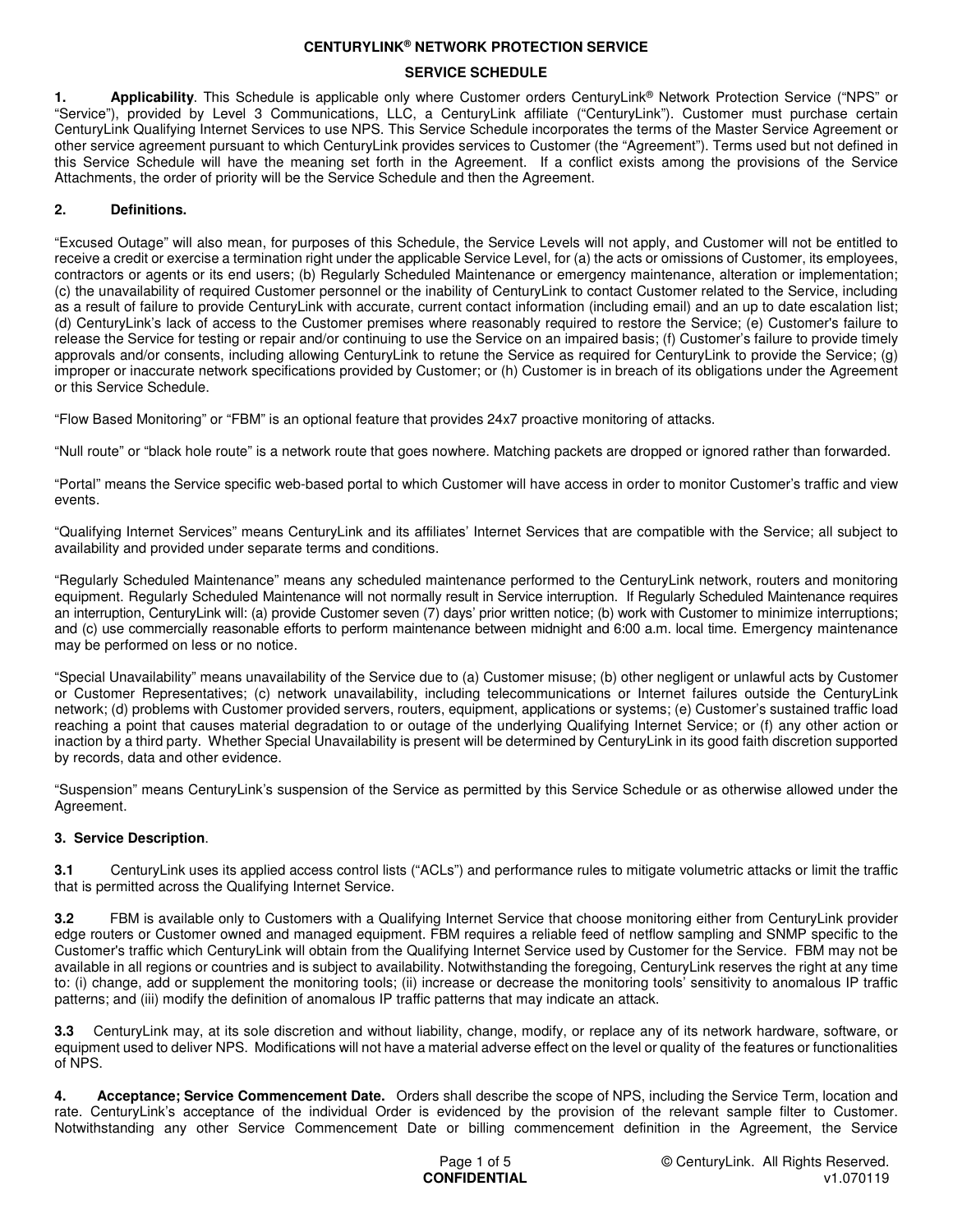#### **SERVICE SCHEDULE**

**1. Applicability**. This Schedule is applicable only where Customer orders CenturyLink® Network Protection Service ("NPS" or "Service"), provided by Level 3 Communications, LLC, a CenturyLink affiliate ("CenturyLink"). Customer must purchase certain CenturyLink Qualifying Internet Services to use NPS. This Service Schedule incorporates the terms of the Master Service Agreement or other service agreement pursuant to which CenturyLink provides services to Customer (the "Agreement"). Terms used but not defined in this Service Schedule will have the meaning set forth in the Agreement. If a conflict exists among the provisions of the Service Attachments, the order of priority will be the Service Schedule and then the Agreement.

# **2. Definitions.**

"Excused Outage" will also mean, for purposes of this Schedule, the Service Levels will not apply, and Customer will not be entitled to receive a credit or exercise a termination right under the applicable Service Level, for (a) the acts or omissions of Customer, its employees, contractors or agents or its end users; (b) Regularly Scheduled Maintenance or emergency maintenance, alteration or implementation; (c) the unavailability of required Customer personnel or the inability of CenturyLink to contact Customer related to the Service, including as a result of failure to provide CenturyLink with accurate, current contact information (including email) and an up to date escalation list; (d) CenturyLink's lack of access to the Customer premises where reasonably required to restore the Service; (e) Customer's failure to release the Service for testing or repair and/or continuing to use the Service on an impaired basis; (f) Customer's failure to provide timely approvals and/or consents, including allowing CenturyLink to retune the Service as required for CenturyLink to provide the Service; (g) improper or inaccurate network specifications provided by Customer; or (h) Customer is in breach of its obligations under the Agreement or this Service Schedule.

"Flow Based Monitoring" or "FBM" is an optional feature that provides 24x7 proactive monitoring of attacks.

"Null route" or "black hole route" is a network route that goes nowhere. Matching packets are dropped or ignored rather than forwarded.

"Portal" means the Service specific web-based portal to which Customer will have access in order to monitor Customer's traffic and view events.

"Qualifying Internet Services" means CenturyLink and its affiliates' Internet Services that are compatible with the Service; all subject to availability and provided under separate terms and conditions.

"Regularly Scheduled Maintenance" means any scheduled maintenance performed to the CenturyLink network, routers and monitoring equipment. Regularly Scheduled Maintenance will not normally result in Service interruption. If Regularly Scheduled Maintenance requires an interruption, CenturyLink will: (a) provide Customer seven (7) days' prior written notice; (b) work with Customer to minimize interruptions; and (c) use commercially reasonable efforts to perform maintenance between midnight and 6:00 a.m. local time. Emergency maintenance may be performed on less or no notice.

"Special Unavailability" means unavailability of the Service due to (a) Customer misuse; (b) other negligent or unlawful acts by Customer or Customer Representatives; (c) network unavailability, including telecommunications or Internet failures outside the CenturyLink network; (d) problems with Customer provided servers, routers, equipment, applications or systems; (e) Customer's sustained traffic load reaching a point that causes material degradation to or outage of the underlying Qualifying Internet Service; or (f) any other action or inaction by a third party. Whether Special Unavailability is present will be determined by CenturyLink in its good faith discretion supported by records, data and other evidence.

"Suspension" means CenturyLink's suspension of the Service as permitted by this Service Schedule or as otherwise allowed under the Agreement.

### **3. Service Description**.

**3.1** CenturyLink uses its applied access control lists ("ACLs") and performance rules to mitigate volumetric attacks or limit the traffic that is permitted across the Qualifying Internet Service.

**3.2** FBM is available only to Customers with a Qualifying Internet Service that choose monitoring either from CenturyLink provider edge routers or Customer owned and managed equipment. FBM requires a reliable feed of netflow sampling and SNMP specific to the Customer's traffic which CenturyLink will obtain from the Qualifying Internet Service used by Customer for the Service. FBM may not be available in all regions or countries and is subject to availability. Notwithstanding the foregoing, CenturyLink reserves the right at any time to: (i) change, add or supplement the monitoring tools; (ii) increase or decrease the monitoring tools' sensitivity to anomalous IP traffic patterns; and (iii) modify the definition of anomalous IP traffic patterns that may indicate an attack.

**3.3** CenturyLink may, at its sole discretion and without liability, change, modify, or replace any of its network hardware, software, or equipment used to deliver NPS. Modifications will not have a material adverse effect on the level or quality of the features or functionalities of NPS.

**4. Acceptance; Service Commencement Date.** Orders shall describe the scope of NPS, including the Service Term, location and rate. CenturyLink's acceptance of the individual Order is evidenced by the provision of the relevant sample filter to Customer. Notwithstanding any other Service Commencement Date or billing commencement definition in the Agreement, the Service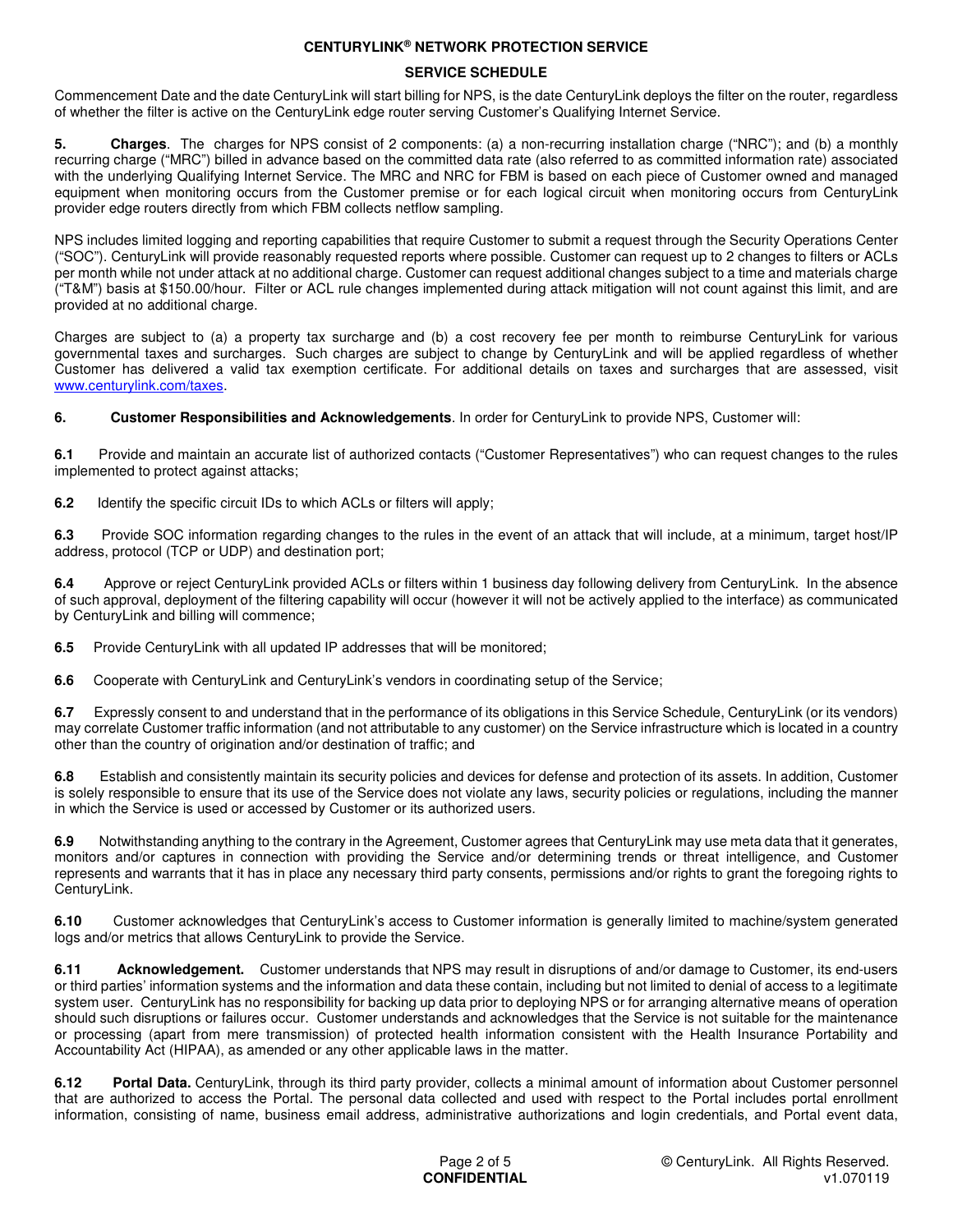## **SERVICE SCHEDULE**

Commencement Date and the date CenturyLink will start billing for NPS, is the date CenturyLink deploys the filter on the router, regardless of whether the filter is active on the CenturyLink edge router serving Customer's Qualifying Internet Service.

**5. Charges**. The charges for NPS consist of 2 components: (a) a non-recurring installation charge ("NRC"); and (b) a monthly recurring charge ("MRC") billed in advance based on the committed data rate (also referred to as committed information rate) associated with the underlying Qualifying Internet Service. The MRC and NRC for FBM is based on each piece of Customer owned and managed equipment when monitoring occurs from the Customer premise or for each logical circuit when monitoring occurs from CenturyLink provider edge routers directly from which FBM collects netflow sampling.

NPS includes limited logging and reporting capabilities that require Customer to submit a request through the Security Operations Center ("SOC"). CenturyLink will provide reasonably requested reports where possible. Customer can request up to 2 changes to filters or ACLs per month while not under attack at no additional charge. Customer can request additional changes subject to a time and materials charge ("T&M") basis at \$150.00/hour. Filter or ACL rule changes implemented during attack mitigation will not count against this limit, and are provided at no additional charge.

Charges are subject to (a) a property tax surcharge and (b) a cost recovery fee per month to reimburse CenturyLink for various governmental taxes and surcharges. Such charges are subject to change by CenturyLink and will be applied regardless of whether Customer has delivered a valid tax exemption certificate. For additional details on taxes and surcharges that are assessed, visit www.centurylink.com/taxes.

**6. Customer Responsibilities and Acknowledgements**. In order for CenturyLink to provide NPS, Customer will:

**6.1** Provide and maintain an accurate list of authorized contacts ("Customer Representatives") who can request changes to the rules implemented to protect against attacks;

**6.2** Identify the specific circuit IDs to which ACLs or filters will apply;

**6.3** Provide SOC information regarding changes to the rules in the event of an attack that will include, at a minimum, target host/IP address, protocol (TCP or UDP) and destination port;

**6.4** Approve or reject CenturyLink provided ACLs or filters within 1 business day following delivery from CenturyLink. In the absence of such approval, deployment of the filtering capability will occur (however it will not be actively applied to the interface) as communicated by CenturyLink and billing will commence;

**6.5** Provide CenturyLink with all updated IP addresses that will be monitored;

**6.6** Cooperate with CenturyLink and CenturyLink's vendors in coordinating setup of the Service;

**6.7** Expressly consent to and understand that in the performance of its obligations in this Service Schedule, CenturyLink (or its vendors) may correlate Customer traffic information (and not attributable to any customer) on the Service infrastructure which is located in a country other than the country of origination and/or destination of traffic; and

**6.8** Establish and consistently maintain its security policies and devices for defense and protection of its assets. In addition, Customer is solely responsible to ensure that its use of the Service does not violate any laws, security policies or regulations, including the manner in which the Service is used or accessed by Customer or its authorized users.

**6.9** Notwithstanding anything to the contrary in the Agreement, Customer agrees that CenturyLink may use meta data that it generates, monitors and/or captures in connection with providing the Service and/or determining trends or threat intelligence, and Customer represents and warrants that it has in place any necessary third party consents, permissions and/or rights to grant the foregoing rights to CenturyLink.

**6.10** Customer acknowledges that CenturyLink's access to Customer information is generally limited to machine/system generated logs and/or metrics that allows CenturyLink to provide the Service.

**6.11 Acknowledgement.** Customer understands that NPS may result in disruptions of and/or damage to Customer, its end-users or third parties' information systems and the information and data these contain, including but not limited to denial of access to a legitimate system user. CenturyLink has no responsibility for backing up data prior to deploying NPS or for arranging alternative means of operation should such disruptions or failures occur. Customer understands and acknowledges that the Service is not suitable for the maintenance or processing (apart from mere transmission) of protected health information consistent with the Health Insurance Portability and Accountability Act (HIPAA), as amended or any other applicable laws in the matter.

**6.12 Portal Data.** CenturyLink, through its third party provider, collects a minimal amount of information about Customer personnel that are authorized to access the Portal. The personal data collected and used with respect to the Portal includes portal enrollment information, consisting of name, business email address, administrative authorizations and login credentials, and Portal event data,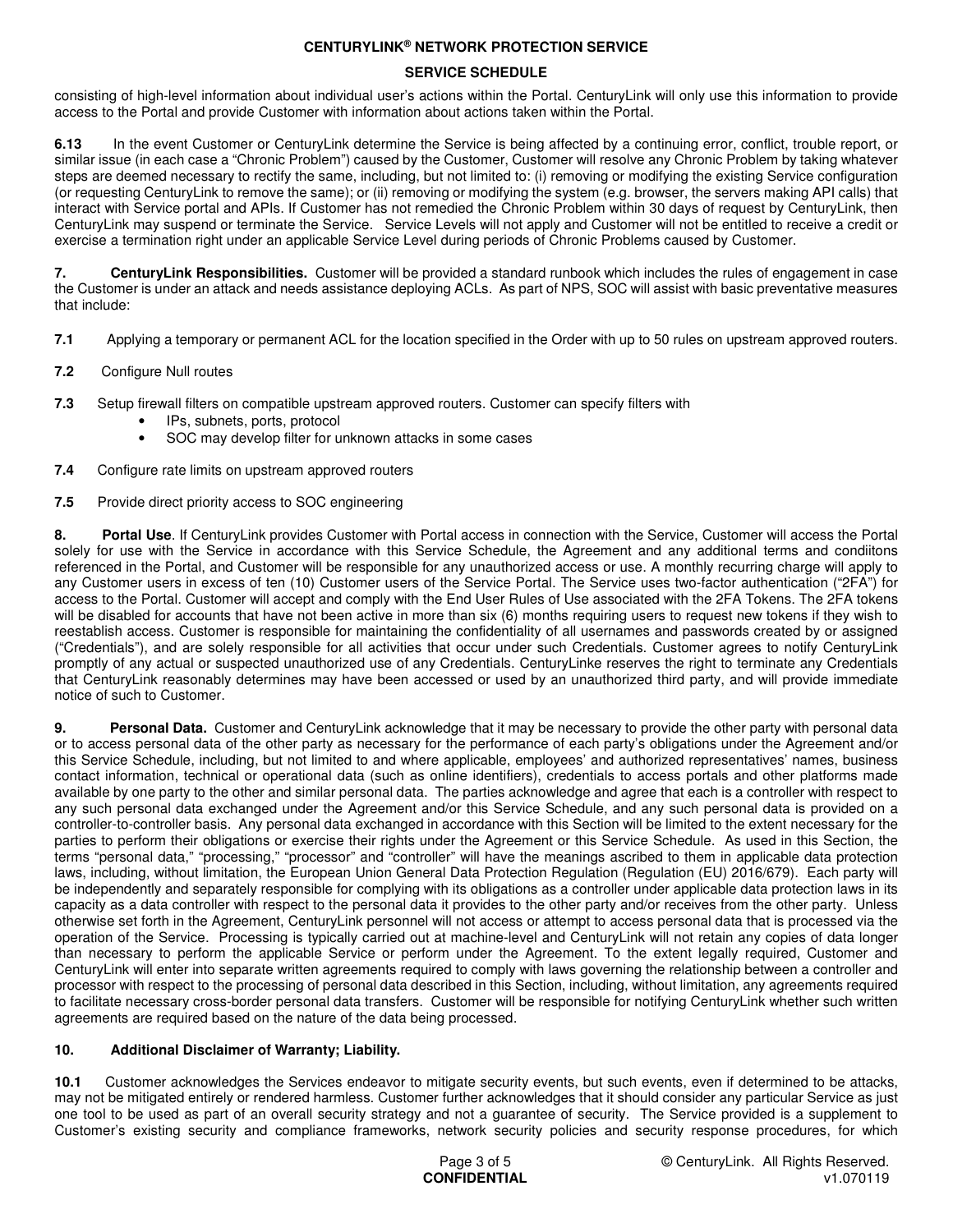# **SERVICE SCHEDULE**

consisting of high-level information about individual user's actions within the Portal. CenturyLink will only use this information to provide access to the Portal and provide Customer with information about actions taken within the Portal.

**6.13** In the event Customer or CenturyLink determine the Service is being affected by a continuing error, conflict, trouble report, or similar issue (in each case a "Chronic Problem") caused by the Customer, Customer will resolve any Chronic Problem by taking whatever steps are deemed necessary to rectify the same, including, but not limited to: (i) removing or modifying the existing Service configuration (or requesting CenturyLink to remove the same); or (ii) removing or modifying the system (e.g. browser, the servers making API calls) that interact with Service portal and APIs. If Customer has not remedied the Chronic Problem within 30 days of request by CenturyLink, then CenturyLink may suspend or terminate the Service. Service Levels will not apply and Customer will not be entitled to receive a credit or exercise a termination right under an applicable Service Level during periods of Chronic Problems caused by Customer.

**7. CenturyLink Responsibilities.** Customer will be provided a standard runbook which includes the rules of engagement in case the Customer is under an attack and needs assistance deploying ACLs. As part of NPS, SOC will assist with basic preventative measures that include:

- **7.1** Applying a temporary or permanent ACL for the location specified in the Order with up to 50 rules on upstream approved routers.
- **7.2** Configure Null routes
- **7.3** Setup firewall filters on compatible upstream approved routers. Customer can specify filters with
	- IPs, subnets, ports, protocol
	- SOC may develop filter for unknown attacks in some cases
- **7.4** Configure rate limits on upstream approved routers
- **7.5** Provide direct priority access to SOC engineering

**8. Portal Use**. If CenturyLink provides Customer with Portal access in connection with the Service, Customer will access the Portal solely for use with the Service in accordance with this Service Schedule, the Agreement and any additional terms and condiitons referenced in the Portal, and Customer will be responsible for any unauthorized access or use. A monthly recurring charge will apply to any Customer users in excess of ten (10) Customer users of the Service Portal. The Service uses two-factor authentication ("2FA") for access to the Portal. Customer will accept and comply with the End User Rules of Use associated with the 2FA Tokens. The 2FA tokens will be disabled for accounts that have not been active in more than six (6) months requiring users to request new tokens if they wish to reestablish access. Customer is responsible for maintaining the confidentiality of all usernames and passwords created by or assigned ("Credentials"), and are solely responsible for all activities that occur under such Credentials. Customer agrees to notify CenturyLink promptly of any actual or suspected unauthorized use of any Credentials. CenturyLinke reserves the right to terminate any Credentials that CenturyLink reasonably determines may have been accessed or used by an unauthorized third party, and will provide immediate notice of such to Customer.

**9. Personal Data.** Customer and CenturyLink acknowledge that it may be necessary to provide the other party with personal data or to access personal data of the other party as necessary for the performance of each party's obligations under the Agreement and/or this Service Schedule, including, but not limited to and where applicable, employees' and authorized representatives' names, business contact information, technical or operational data (such as online identifiers), credentials to access portals and other platforms made available by one party to the other and similar personal data. The parties acknowledge and agree that each is a controller with respect to any such personal data exchanged under the Agreement and/or this Service Schedule, and any such personal data is provided on a controller-to-controller basis. Any personal data exchanged in accordance with this Section will be limited to the extent necessary for the parties to perform their obligations or exercise their rights under the Agreement or this Service Schedule. As used in this Section, the terms "personal data," "processing," "processor" and "controller" will have the meanings ascribed to them in applicable data protection laws, including, without limitation, the European Union General Data Protection Regulation (Regulation (EU) 2016/679). Each party will be independently and separately responsible for complying with its obligations as a controller under applicable data protection laws in its capacity as a data controller with respect to the personal data it provides to the other party and/or receives from the other party. Unless otherwise set forth in the Agreement, CenturyLink personnel will not access or attempt to access personal data that is processed via the operation of the Service. Processing is typically carried out at machine-level and CenturyLink will not retain any copies of data longer than necessary to perform the applicable Service or perform under the Agreement. To the extent legally required, Customer and CenturyLink will enter into separate written agreements required to comply with laws governing the relationship between a controller and processor with respect to the processing of personal data described in this Section, including, without limitation, any agreements required to facilitate necessary cross-border personal data transfers. Customer will be responsible for notifying CenturyLink whether such written agreements are required based on the nature of the data being processed.

### **10. Additional Disclaimer of Warranty; Liability.**

**10.1** Customer acknowledges the Services endeavor to mitigate security events, but such events, even if determined to be attacks, may not be mitigated entirely or rendered harmless. Customer further acknowledges that it should consider any particular Service as just one tool to be used as part of an overall security strategy and not a guarantee of security. The Service provided is a supplement to Customer's existing security and compliance frameworks, network security policies and security response procedures, for which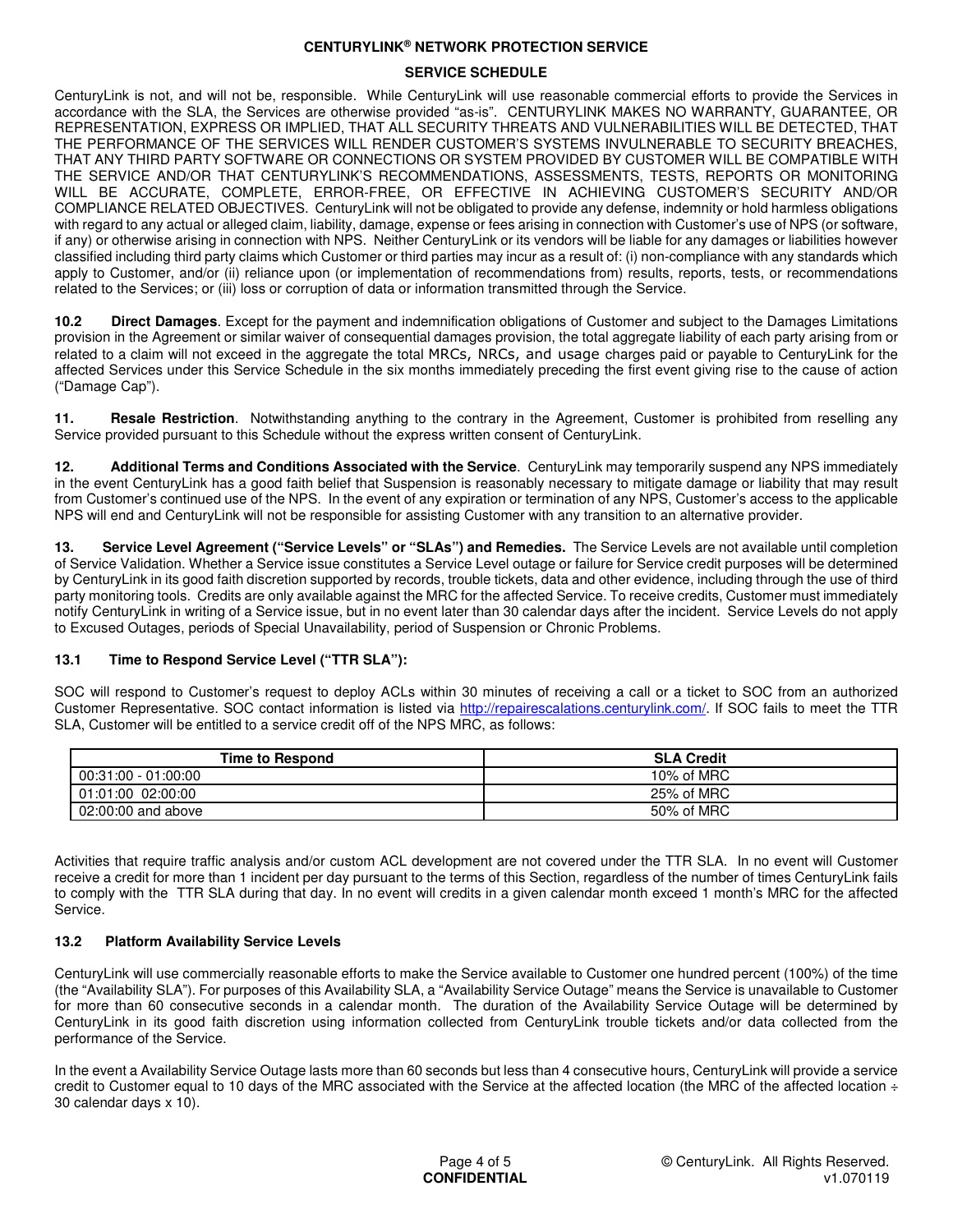#### **SERVICE SCHEDULE**

CenturyLink is not, and will not be, responsible. While CenturyLink will use reasonable commercial efforts to provide the Services in accordance with the SLA, the Services are otherwise provided "as-is". CENTURYLINK MAKES NO WARRANTY, GUARANTEE, OR REPRESENTATION, EXPRESS OR IMPLIED, THAT ALL SECURITY THREATS AND VULNERABILITIES WILL BE DETECTED, THAT THE PERFORMANCE OF THE SERVICES WILL RENDER CUSTOMER'S SYSTEMS INVULNERABLE TO SECURITY BREACHES, THAT ANY THIRD PARTY SOFTWARE OR CONNECTIONS OR SYSTEM PROVIDED BY CUSTOMER WILL BE COMPATIBLE WITH THE SERVICE AND/OR THAT CENTURYLINK'S RECOMMENDATIONS, ASSESSMENTS, TESTS, REPORTS OR MONITORING WILL BE ACCURATE, COMPLETE, ERROR-FREE, OR EFFECTIVE IN ACHIEVING CUSTOMER'S SECURITY AND/OR COMPLIANCE RELATED OBJECTIVES. CenturyLink will not be obligated to provide any defense, indemnity or hold harmless obligations with regard to any actual or alleged claim, liability, damage, expense or fees arising in connection with Customer's use of NPS (or software, if any) or otherwise arising in connection with NPS. Neither CenturyLink or its vendors will be liable for any damages or liabilities however classified including third party claims which Customer or third parties may incur as a result of: (i) non-compliance with any standards which apply to Customer, and/or (ii) reliance upon (or implementation of recommendations from) results, reports, tests, or recommendations related to the Services; or (iii) loss or corruption of data or information transmitted through the Service.

**10.2 Direct Damages**. Except for the payment and indemnification obligations of Customer and subject to the Damages Limitations provision in the Agreement or similar waiver of consequential damages provision, the total aggregate liability of each party arising from or related to a claim will not exceed in the aggregate the total MRCs, NRCs, and usage charges paid or payable to CenturyLink for the affected Services under this Service Schedule in the six months immediately preceding the first event giving rise to the cause of action ("Damage Cap").

**11. Resale Restriction**. Notwithstanding anything to the contrary in the Agreement, Customer is prohibited from reselling any Service provided pursuant to this Schedule without the express written consent of CenturyLink.

**12. Additional Terms and Conditions Associated with the Service**.CenturyLink may temporarily suspend any NPS immediately in the event CenturyLink has a good faith belief that Suspension is reasonably necessary to mitigate damage or liability that may result from Customer's continued use of the NPS. In the event of any expiration or termination of any NPS, Customer's access to the applicable NPS will end and CenturyLink will not be responsible for assisting Customer with any transition to an alternative provider.

**13. Service Level Agreement ("Service Levels" or "SLAs") and Remedies.** The Service Levels are not available until completion of Service Validation. Whether a Service issue constitutes a Service Level outage or failure for Service credit purposes will be determined by CenturyLink in its good faith discretion supported by records, trouble tickets, data and other evidence, including through the use of third party monitoring tools. Credits are only available against the MRC for the affected Service. To receive credits, Customer must immediately notify CenturyLink in writing of a Service issue, but in no event later than 30 calendar days after the incident. Service Levels do not apply to Excused Outages, periods of Special Unavailability, period of Suspension or Chronic Problems.

### **13.1 Time to Respond Service Level ("TTR SLA"):**

SOC will respond to Customer's request to deploy ACLs within 30 minutes of receiving a call or a ticket to SOC from an authorized Customer Representative. SOC contact information is listed via http://repairescalations.centurylink.com/. If SOC fails to meet the TTR SLA, Customer will be entitled to a service credit off of the NPS MRC, as follows:

| <b>Time to Respond</b> | <b>SLA Credit</b> |
|------------------------|-------------------|
| $00:31:00 - 01:00:00$  | 10% of MRC        |
| 01:01:00 02:00:00      | 25% of MRC        |
| 02:00:00 and above     | 50% of MRC        |

Activities that require traffic analysis and/or custom ACL development are not covered under the TTR SLA. In no event will Customer receive a credit for more than 1 incident per day pursuant to the terms of this Section, regardless of the number of times CenturyLink fails to comply with the TTR SLA during that day. In no event will credits in a given calendar month exceed 1 month's MRC for the affected Service.

### **13.2 Platform Availability Service Levels**

CenturyLink will use commercially reasonable efforts to make the Service available to Customer one hundred percent (100%) of the time (the "Availability SLA"). For purposes of this Availability SLA, a "Availability Service Outage" means the Service is unavailable to Customer for more than 60 consecutive seconds in a calendar month. The duration of the Availability Service Outage will be determined by CenturyLink in its good faith discretion using information collected from CenturyLink trouble tickets and/or data collected from the performance of the Service.

In the event a Availability Service Outage lasts more than 60 seconds but less than 4 consecutive hours, CenturyLink will provide a service credit to Customer equal to 10 days of the MRC associated with the Service at the affected location (the MRC of the affected location  $\div$ 30 calendar days x 10).